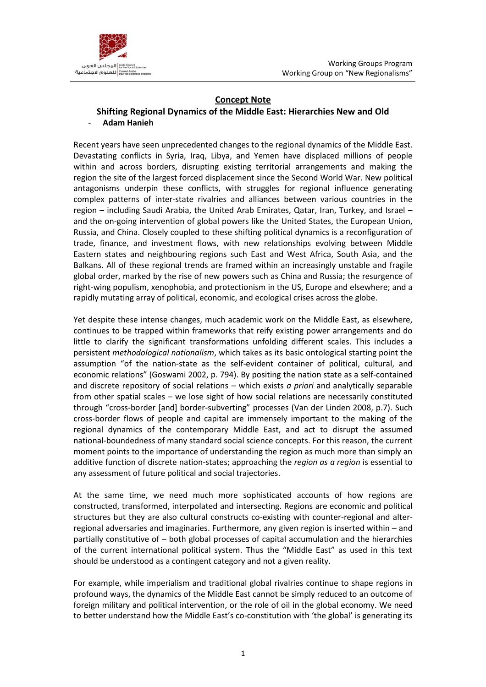



## **Concept Note**

## **Shifting Regional Dynamics of the Middle East: Hierarchies New and Old** - **Adam Hanieh**

Recent years have seen unprecedented changes to the regional dynamics of the Middle East. Devastating conflicts in Syria, Iraq, Libya, and Yemen have displaced millions of people within and across borders, disrupting existing territorial arrangements and making the region the site of the largest forced displacement since the Second World War. New political antagonisms underpin these conflicts, with struggles for regional influence generating complex patterns of inter-state rivalries and alliances between various countries in the region – including Saudi Arabia, the United Arab Emirates, Qatar, Iran, Turkey, and Israel – and the on-going intervention of global powers like the United States, the European Union, Russia, and China. Closely coupled to these shifting political dynamics is a reconfiguration of trade, finance, and investment flows, with new relationships evolving between Middle Eastern states and neighbouring regions such East and West Africa, South Asia, and the Balkans. All of these regional trends are framed within an increasingly unstable and fragile global order, marked by the rise of new powers such as China and Russia; the resurgence of right-wing populism, xenophobia, and protectionism in the US, Europe and elsewhere; and a rapidly mutating array of political, economic, and ecological crises across the globe.

Yet despite these intense changes, much academic work on the Middle East, as elsewhere, continues to be trapped within frameworks that reify existing power arrangements and do little to clarify the significant transformations unfolding different scales. This includes a persistent *methodological nationalism*, which takes as its basic ontological starting point the assumption "of the nation-state as the self-evident container of political, cultural, and economic relations" (Goswami 2002, p. 794). By positing the nation state as a self-contained and discrete repository of social relations – which exists *a priori* and analytically separable from other spatial scales – we lose sight of how social relations are necessarily constituted through "cross-border [and] border-subverting" processes (Van der Linden 2008, p.7). Such cross-border flows of people and capital are immensely important to the making of the regional dynamics of the contemporary Middle East, and act to disrupt the assumed national-boundedness of many standard social science concepts. For this reason, the current moment points to the importance of understanding the region as much more than simply an additive function of discrete nation-states; approaching the *region as a region* is essential to any assessment of future political and social trajectories.

At the same time, we need much more sophisticated accounts of how regions are constructed, transformed, interpolated and intersecting. Regions are economic and political structures but they are also cultural constructs co-existing with counter-regional and alterregional adversaries and imaginaries. Furthermore, any given region is inserted within – and partially constitutive of – both global processes of capital accumulation and the hierarchies of the current international political system. Thus the "Middle East" as used in this text should be understood as a contingent category and not a given reality.

For example, while imperialism and traditional global rivalries continue to shape regions in profound ways, the dynamics of the Middle East cannot be simply reduced to an outcome of foreign military and political intervention, or the role of oil in the global economy. We need to better understand how the Middle East's co-constitution with 'the global' is generating its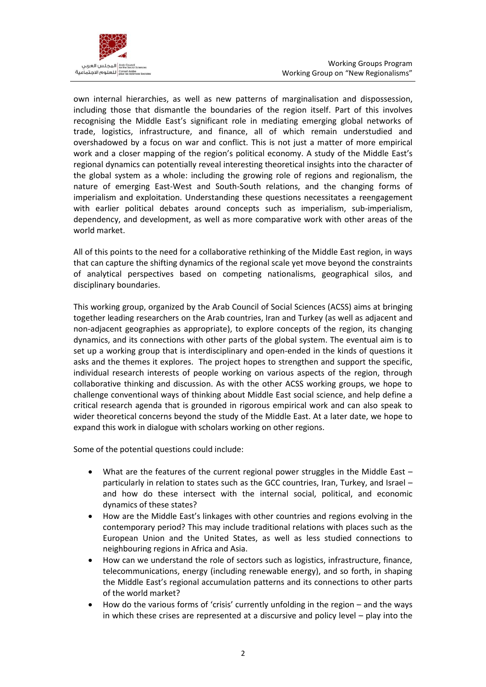

own internal hierarchies, as well as new patterns of marginalisation and dispossession, including those that dismantle the boundaries of the region itself. Part of this involves recognising the Middle East's significant role in mediating emerging global networks of trade, logistics, infrastructure, and finance, all of which remain understudied and overshadowed by a focus on war and conflict. This is not just a matter of more empirical work and a closer mapping of the region's political economy. A study of the Middle East's regional dynamics can potentially reveal interesting theoretical insights into the character of the global system as a whole: including the growing role of regions and regionalism, the nature of emerging East-West and South-South relations, and the changing forms of imperialism and exploitation. Understanding these questions necessitates a reengagement with earlier political debates around concepts such as imperialism, sub-imperialism, dependency, and development, as well as more comparative work with other areas of the world market.

All of this points to the need for a collaborative rethinking of the Middle East region, in ways that can capture the shifting dynamics of the regional scale yet move beyond the constraints of analytical perspectives based on competing nationalisms, geographical silos, and disciplinary boundaries.

This working group, organized by the Arab Council of Social Sciences (ACSS) aims at bringing together leading researchers on the Arab countries, Iran and Turkey (as well as adjacent and non-adjacent geographies as appropriate), to explore concepts of the region, its changing dynamics, and its connections with other parts of the global system. The eventual aim is to set up a working group that is interdisciplinary and open-ended in the kinds of questions it asks and the themes it explores. The project hopes to strengthen and support the specific, individual research interests of people working on various aspects of the region, through collaborative thinking and discussion. As with the other ACSS working groups, we hope to challenge conventional ways of thinking about Middle East social science, and help define a critical research agenda that is grounded in rigorous empirical work and can also speak to wider theoretical concerns beyond the study of the Middle East. At a later date, we hope to expand this work in dialogue with scholars working on other regions.

Some of the potential questions could include:

- What are the features of the current regional power struggles in the Middle East particularly in relation to states such as the GCC countries, Iran, Turkey, and Israel – and how do these intersect with the internal social, political, and economic dynamics of these states?
- How are the Middle East's linkages with other countries and regions evolving in the contemporary period? This may include traditional relations with places such as the European Union and the United States, as well as less studied connections to neighbouring regions in Africa and Asia.
- How can we understand the role of sectors such as logistics, infrastructure, finance, telecommunications, energy (including renewable energy), and so forth, in shaping the Middle East's regional accumulation patterns and its connections to other parts of the world market?
- How do the various forms of 'crisis' currently unfolding in the region and the ways in which these crises are represented at a discursive and policy level – play into the